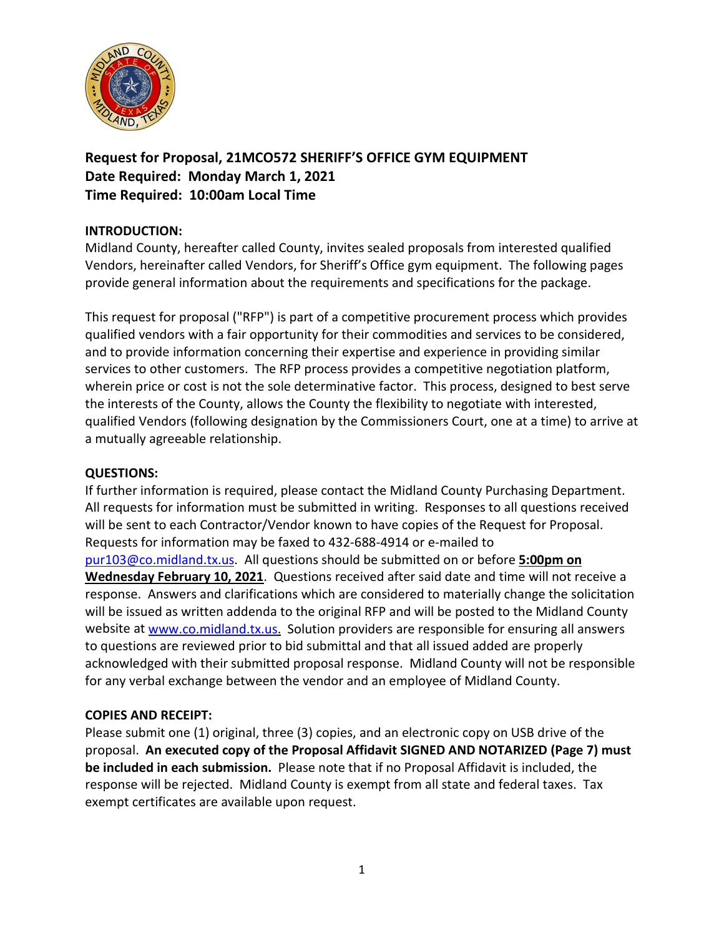

**Request for Proposal, 21MCO572 SHERIFF'S OFFICE GYM EQUIPMENT Date Required: Monday March 1, 2021 Time Required: 10:00am Local Time**

### **INTRODUCTION:**

Midland County, hereafter called County, invites sealed proposals from interested qualified Vendors, hereinafter called Vendors, for Sheriff's Office gym equipment. The following pages provide general information about the requirements and specifications for the package.

This request for proposal ("RFP") is part of a competitive procurement process which provides qualified vendors with a fair opportunity for their commodities and services to be considered, and to provide information concerning their expertise and experience in providing similar services to other customers. The RFP process provides a competitive negotiation platform, wherein price or cost is not the sole determinative factor. This process, designed to best serve the interests of the County, allows the County the flexibility to negotiate with interested, qualified Vendors (following designation by the Commissioners Court, one at a time) to arrive at a mutually agreeable relationship.

### **QUESTIONS:**

If further information is required, please contact the Midland County Purchasing Department. All requests for information must be submitted in writing. Responses to all questions received will be sent to each Contractor/Vendor known to have copies of the Request for Proposal. Requests for information may be faxed to 432-688-4914 or e-mailed to [pur103@co.midland.tx.us.](mailto:pur103@co.midland.tx.us) All questions should be submitted on or before **5:00pm on Wednesday February 10, 2021**. Questions received after said date and time will not receive a response. Answers and clarifications which are considered to materially change the solicitation will be issued as written addenda to the original RFP and will be posted to the Midland County website at [www.co.midland.tx.us.](http://www.co.midland.tx.us/) Solution providers are responsible for ensuring all answers to questions are reviewed prior to bid submittal and that all issued added are properly acknowledged with their submitted proposal response. Midland County will not be responsible for any verbal exchange between the vendor and an employee of Midland County.

### **COPIES AND RECEIPT:**

Please submit one (1) original, three (3) copies, and an electronic copy on USB drive of the proposal. **An executed copy of the Proposal Affidavit SIGNED AND NOTARIZED (Page 7) must be included in each submission.** Please note that if no Proposal Affidavit is included, the response will be rejected. Midland County is exempt from all state and federal taxes. Tax exempt certificates are available upon request.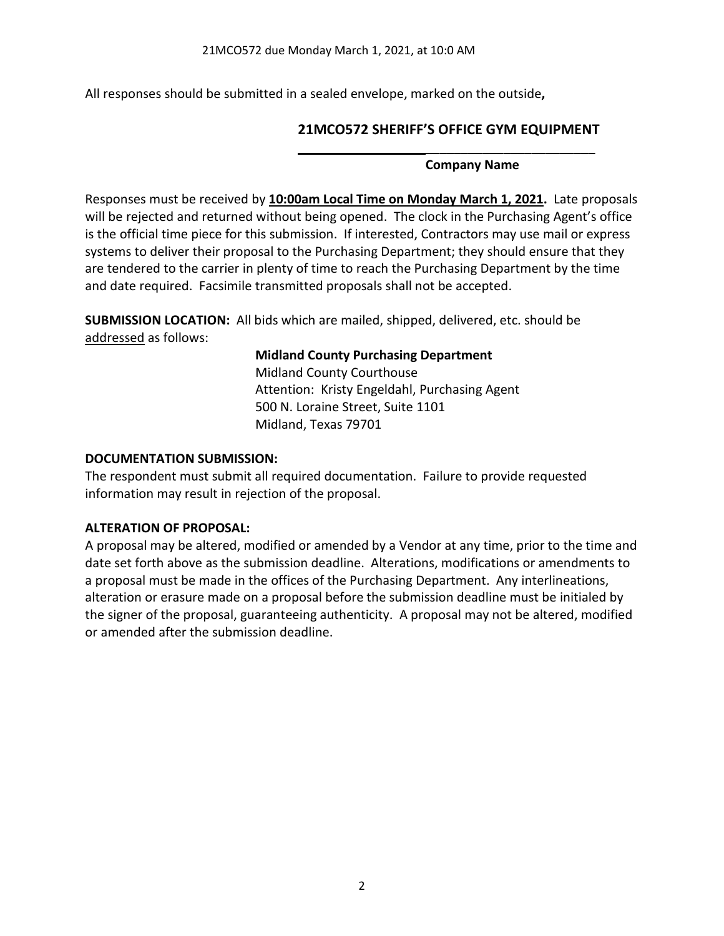All responses should be submitted in a sealed envelope, marked on the outside**,** 

# **21MCO572 SHERIFF'S OFFICE GYM EQUIPMENT**

#### **Company Name**

**\_\_\_\_\_\_\_\_\_\_\_\_\_\_\_\_\_\_\_\_\_\_\_\_**

Responses must be received by **10:00am Local Time on Monday March 1, 2021.** Late proposals will be rejected and returned without being opened. The clock in the Purchasing Agent's office is the official time piece for this submission. If interested, Contractors may use mail or express systems to deliver their proposal to the Purchasing Department; they should ensure that they are tendered to the carrier in plenty of time to reach the Purchasing Department by the time and date required. Facsimile transmitted proposals shall not be accepted.

**SUBMISSION LOCATION:** All bids which are mailed, shipped, delivered, etc. should be addressed as follows:

> **Midland County Purchasing Department** Midland County Courthouse Attention: Kristy Engeldahl, Purchasing Agent 500 N. Loraine Street, Suite 1101 Midland, Texas 79701

### **DOCUMENTATION SUBMISSION:**

The respondent must submit all required documentation. Failure to provide requested information may result in rejection of the proposal.

### **ALTERATION OF PROPOSAL:**

A proposal may be altered, modified or amended by a Vendor at any time, prior to the time and date set forth above as the submission deadline. Alterations, modifications or amendments to a proposal must be made in the offices of the Purchasing Department. Any interlineations, alteration or erasure made on a proposal before the submission deadline must be initialed by the signer of the proposal, guaranteeing authenticity. A proposal may not be altered, modified or amended after the submission deadline.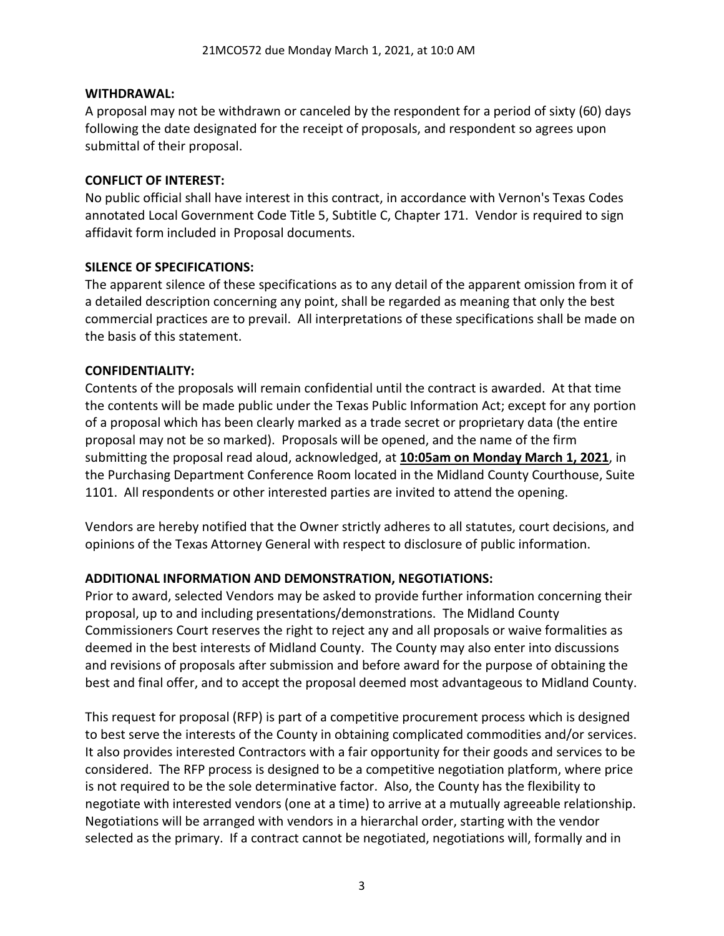### **WITHDRAWAL:**

A proposal may not be withdrawn or canceled by the respondent for a period of sixty (60) days following the date designated for the receipt of proposals, and respondent so agrees upon submittal of their proposal.

#### **CONFLICT OF INTEREST:**

No public official shall have interest in this contract, in accordance with Vernon's Texas Codes annotated Local Government Code Title 5, Subtitle C, Chapter 171. Vendor is required to sign affidavit form included in Proposal documents.

### **SILENCE OF SPECIFICATIONS:**

The apparent silence of these specifications as to any detail of the apparent omission from it of a detailed description concerning any point, shall be regarded as meaning that only the best commercial practices are to prevail. All interpretations of these specifications shall be made on the basis of this statement.

### **CONFIDENTIALITY:**

Contents of the proposals will remain confidential until the contract is awarded. At that time the contents will be made public under the Texas Public Information Act; except for any portion of a proposal which has been clearly marked as a trade secret or proprietary data (the entire proposal may not be so marked). Proposals will be opened, and the name of the firm submitting the proposal read aloud, acknowledged, at **10:05am on Monday March 1, 2021**, in the Purchasing Department Conference Room located in the Midland County Courthouse, Suite 1101. All respondents or other interested parties are invited to attend the opening.

Vendors are hereby notified that the Owner strictly adheres to all statutes, court decisions, and opinions of the Texas Attorney General with respect to disclosure of public information.

### **ADDITIONAL INFORMATION AND DEMONSTRATION, NEGOTIATIONS:**

Prior to award, selected Vendors may be asked to provide further information concerning their proposal, up to and including presentations/demonstrations. The Midland County Commissioners Court reserves the right to reject any and all proposals or waive formalities as deemed in the best interests of Midland County. The County may also enter into discussions and revisions of proposals after submission and before award for the purpose of obtaining the best and final offer, and to accept the proposal deemed most advantageous to Midland County.

This request for proposal (RFP) is part of a competitive procurement process which is designed to best serve the interests of the County in obtaining complicated commodities and/or services. It also provides interested Contractors with a fair opportunity for their goods and services to be considered. The RFP process is designed to be a competitive negotiation platform, where price is not required to be the sole determinative factor. Also, the County has the flexibility to negotiate with interested vendors (one at a time) to arrive at a mutually agreeable relationship. Negotiations will be arranged with vendors in a hierarchal order, starting with the vendor selected as the primary. If a contract cannot be negotiated, negotiations will, formally and in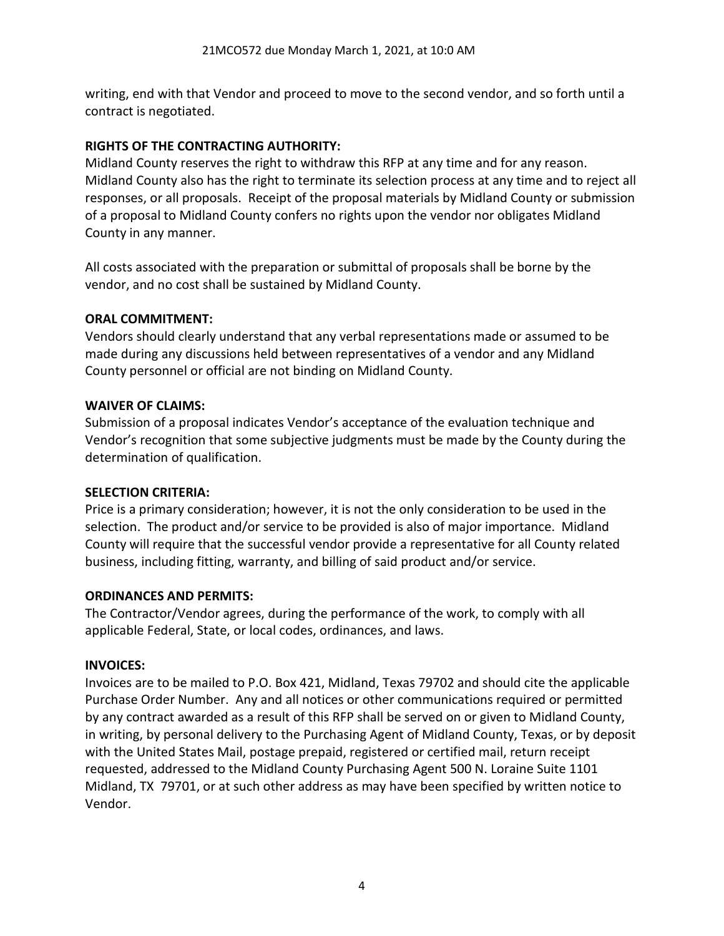writing, end with that Vendor and proceed to move to the second vendor, and so forth until a contract is negotiated.

# **RIGHTS OF THE CONTRACTING AUTHORITY:**

Midland County reserves the right to withdraw this RFP at any time and for any reason. Midland County also has the right to terminate its selection process at any time and to reject all responses, or all proposals. Receipt of the proposal materials by Midland County or submission of a proposal to Midland County confers no rights upon the vendor nor obligates Midland County in any manner.

All costs associated with the preparation or submittal of proposals shall be borne by the vendor, and no cost shall be sustained by Midland County.

# **ORAL COMMITMENT:**

Vendors should clearly understand that any verbal representations made or assumed to be made during any discussions held between representatives of a vendor and any Midland County personnel or official are not binding on Midland County.

# **WAIVER OF CLAIMS:**

Submission of a proposal indicates Vendor's acceptance of the evaluation technique and Vendor's recognition that some subjective judgments must be made by the County during the determination of qualification.

# **SELECTION CRITERIA:**

Price is a primary consideration; however, it is not the only consideration to be used in the selection. The product and/or service to be provided is also of major importance. Midland County will require that the successful vendor provide a representative for all County related business, including fitting, warranty, and billing of said product and/or service.

# **ORDINANCES AND PERMITS:**

The Contractor/Vendor agrees, during the performance of the work, to comply with all applicable Federal, State, or local codes, ordinances, and laws.

# **INVOICES:**

Invoices are to be mailed to P.O. Box 421, Midland, Texas 79702 and should cite the applicable Purchase Order Number. Any and all notices or other communications required or permitted by any contract awarded as a result of this RFP shall be served on or given to Midland County, in writing, by personal delivery to the Purchasing Agent of Midland County, Texas, or by deposit with the United States Mail, postage prepaid, registered or certified mail, return receipt requested, addressed to the Midland County Purchasing Agent 500 N. Loraine Suite 1101 Midland, TX 79701, or at such other address as may have been specified by written notice to Vendor.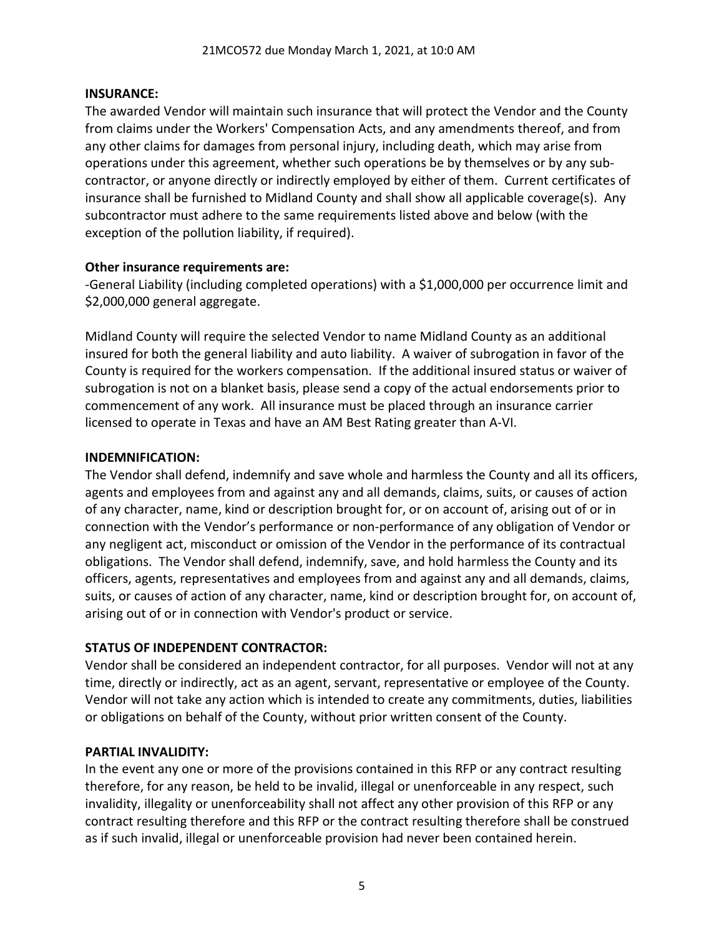### **INSURANCE:**

The awarded Vendor will maintain such insurance that will protect the Vendor and the County from claims under the Workers' Compensation Acts, and any amendments thereof, and from any other claims for damages from personal injury, including death, which may arise from operations under this agreement, whether such operations be by themselves or by any subcontractor, or anyone directly or indirectly employed by either of them. Current certificates of insurance shall be furnished to Midland County and shall show all applicable coverage(s). Any subcontractor must adhere to the same requirements listed above and below (with the exception of the pollution liability, if required).

### **Other insurance requirements are:**

-General Liability (including completed operations) with a \$1,000,000 per occurrence limit and \$2,000,000 general aggregate.

Midland County will require the selected Vendor to name Midland County as an additional insured for both the general liability and auto liability. A waiver of subrogation in favor of the County is required for the workers compensation. If the additional insured status or waiver of subrogation is not on a blanket basis, please send a copy of the actual endorsements prior to commencement of any work. All insurance must be placed through an insurance carrier licensed to operate in Texas and have an AM Best Rating greater than A-VI.

### **INDEMNIFICATION:**

The Vendor shall defend, indemnify and save whole and harmless the County and all its officers, agents and employees from and against any and all demands, claims, suits, or causes of action of any character, name, kind or description brought for, or on account of, arising out of or in connection with the Vendor's performance or non-performance of any obligation of Vendor or any negligent act, misconduct or omission of the Vendor in the performance of its contractual obligations. The Vendor shall defend, indemnify, save, and hold harmless the County and its officers, agents, representatives and employees from and against any and all demands, claims, suits, or causes of action of any character, name, kind or description brought for, on account of, arising out of or in connection with Vendor's product or service.

# **STATUS OF INDEPENDENT CONTRACTOR:**

Vendor shall be considered an independent contractor, for all purposes. Vendor will not at any time, directly or indirectly, act as an agent, servant, representative or employee of the County. Vendor will not take any action which is intended to create any commitments, duties, liabilities or obligations on behalf of the County, without prior written consent of the County.

# **PARTIAL INVALIDITY:**

In the event any one or more of the provisions contained in this RFP or any contract resulting therefore, for any reason, be held to be invalid, illegal or unenforceable in any respect, such invalidity, illegality or unenforceability shall not affect any other provision of this RFP or any contract resulting therefore and this RFP or the contract resulting therefore shall be construed as if such invalid, illegal or unenforceable provision had never been contained herein.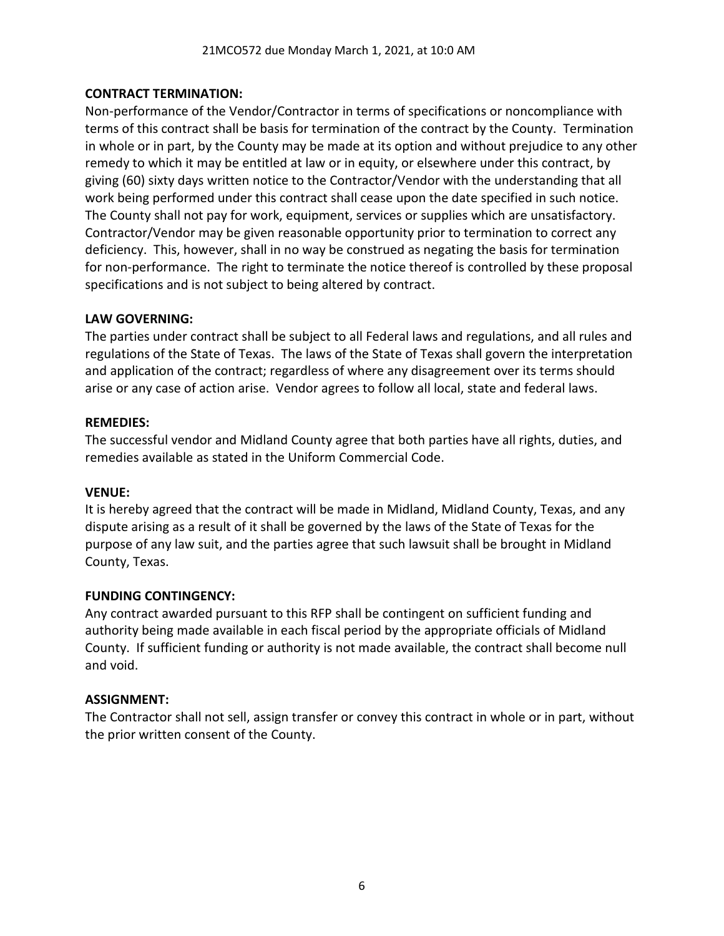### **CONTRACT TERMINATION:**

Non-performance of the Vendor/Contractor in terms of specifications or noncompliance with terms of this contract shall be basis for termination of the contract by the County. Termination in whole or in part, by the County may be made at its option and without prejudice to any other remedy to which it may be entitled at law or in equity, or elsewhere under this contract, by giving (60) sixty days written notice to the Contractor/Vendor with the understanding that all work being performed under this contract shall cease upon the date specified in such notice. The County shall not pay for work, equipment, services or supplies which are unsatisfactory. Contractor/Vendor may be given reasonable opportunity prior to termination to correct any deficiency. This, however, shall in no way be construed as negating the basis for termination for non-performance. The right to terminate the notice thereof is controlled by these proposal specifications and is not subject to being altered by contract.

### **LAW GOVERNING:**

The parties under contract shall be subject to all Federal laws and regulations, and all rules and regulations of the State of Texas. The laws of the State of Texas shall govern the interpretation and application of the contract; regardless of where any disagreement over its terms should arise or any case of action arise. Vendor agrees to follow all local, state and federal laws.

### **REMEDIES:**

The successful vendor and Midland County agree that both parties have all rights, duties, and remedies available as stated in the Uniform Commercial Code.

### **VENUE:**

It is hereby agreed that the contract will be made in Midland, Midland County, Texas, and any dispute arising as a result of it shall be governed by the laws of the State of Texas for the purpose of any law suit, and the parties agree that such lawsuit shall be brought in Midland County, Texas.

### **FUNDING CONTINGENCY:**

Any contract awarded pursuant to this RFP shall be contingent on sufficient funding and authority being made available in each fiscal period by the appropriate officials of Midland County. If sufficient funding or authority is not made available, the contract shall become null and void.

### **ASSIGNMENT:**

The Contractor shall not sell, assign transfer or convey this contract in whole or in part, without the prior written consent of the County.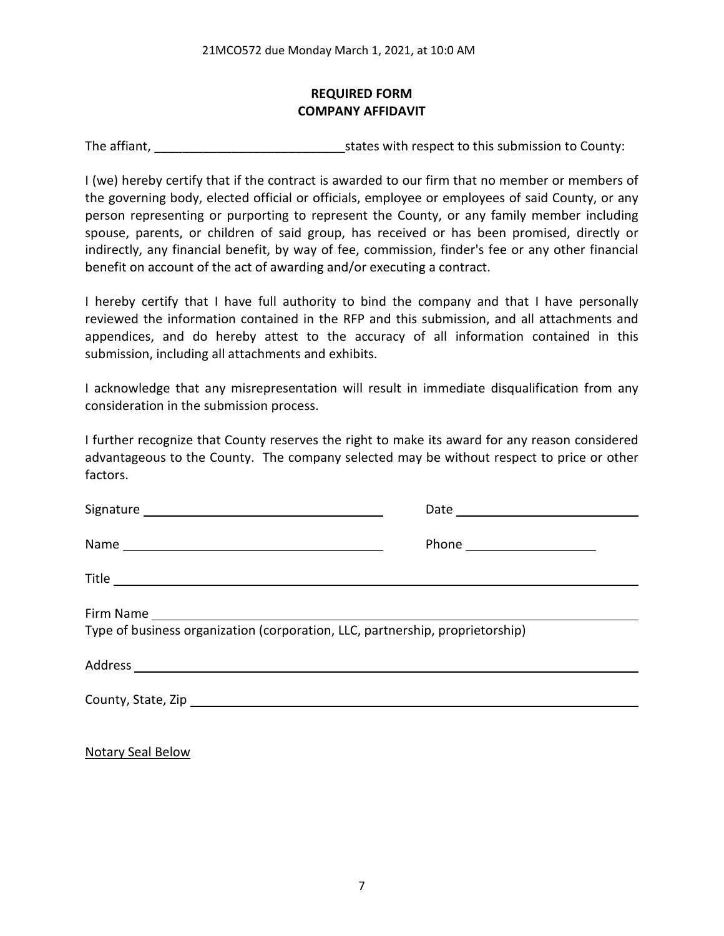# **REQUIRED FORM COMPANY AFFIDAVIT**

The affiant, The affiant, The affiant,  $\frac{1}{2}$  states with respect to this submission to County:

I (we) hereby certify that if the contract is awarded to our firm that no member or members of the governing body, elected official or officials, employee or employees of said County, or any person representing or purporting to represent the County, or any family member including spouse, parents, or children of said group, has received or has been promised, directly or indirectly, any financial benefit, by way of fee, commission, finder's fee or any other financial benefit on account of the act of awarding and/or executing a contract.

I hereby certify that I have full authority to bind the company and that I have personally reviewed the information contained in the RFP and this submission, and all attachments and appendices, and do hereby attest to the accuracy of all information contained in this submission, including all attachments and exhibits.

I acknowledge that any misrepresentation will result in immediate disqualification from any consideration in the submission process.

I further recognize that County reserves the right to make its award for any reason considered advantageous to the County. The company selected may be without respect to price or other factors.

|                                                                               | Phone _______________________ |  |
|-------------------------------------------------------------------------------|-------------------------------|--|
|                                                                               |                               |  |
| Type of business organization (corporation, LLC, partnership, proprietorship) |                               |  |
|                                                                               |                               |  |
|                                                                               |                               |  |
|                                                                               |                               |  |

Notary Seal Below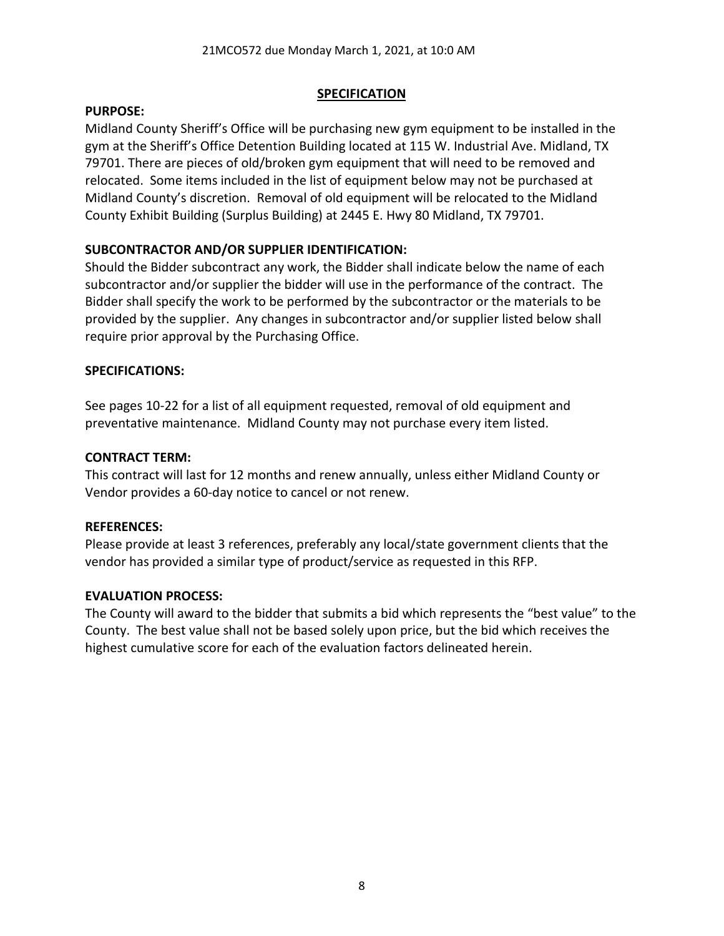### **SPECIFICATION**

### **PURPOSE:**

Midland County Sheriff's Office will be purchasing new gym equipment to be installed in the gym at the Sheriff's Office Detention Building located at 115 W. Industrial Ave. Midland, TX 79701. There are pieces of old/broken gym equipment that will need to be removed and relocated. Some items included in the list of equipment below may not be purchased at Midland County's discretion. Removal of old equipment will be relocated to the Midland County Exhibit Building (Surplus Building) at 2445 E. Hwy 80 Midland, TX 79701.

# **SUBCONTRACTOR AND/OR SUPPLIER IDENTIFICATION:**

Should the Bidder subcontract any work, the Bidder shall indicate below the name of each subcontractor and/or supplier the bidder will use in the performance of the contract. The Bidder shall specify the work to be performed by the subcontractor or the materials to be provided by the supplier. Any changes in subcontractor and/or supplier listed below shall require prior approval by the Purchasing Office.

# **SPECIFICATIONS:**

See pages 10-22 for a list of all equipment requested, removal of old equipment and preventative maintenance. Midland County may not purchase every item listed.

### **CONTRACT TERM:**

This contract will last for 12 months and renew annually, unless either Midland County or Vendor provides a 60-day notice to cancel or not renew.

# **REFERENCES:**

Please provide at least 3 references, preferably any local/state government clients that the vendor has provided a similar type of product/service as requested in this RFP.

# **EVALUATION PROCESS:**

The County will award to the bidder that submits a bid which represents the "best value" to the County. The best value shall not be based solely upon price, but the bid which receives the highest cumulative score for each of the evaluation factors delineated herein.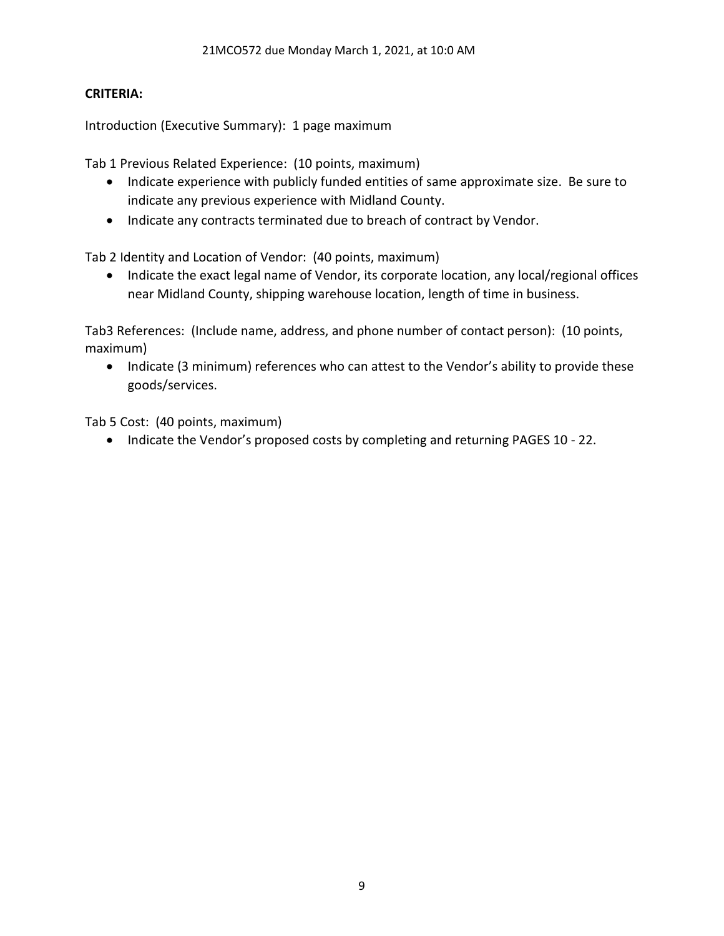### **CRITERIA:**

Introduction (Executive Summary): 1 page maximum

Tab 1 Previous Related Experience: (10 points, maximum)

- Indicate experience with publicly funded entities of same approximate size. Be sure to indicate any previous experience with Midland County.
- Indicate any contracts terminated due to breach of contract by Vendor.

Tab 2 Identity and Location of Vendor: (40 points, maximum)

• Indicate the exact legal name of Vendor, its corporate location, any local/regional offices near Midland County, shipping warehouse location, length of time in business.

Tab3 References: (Include name, address, and phone number of contact person): (10 points, maximum)

• Indicate (3 minimum) references who can attest to the Vendor's ability to provide these goods/services.

Tab 5 Cost: (40 points, maximum)

• Indicate the Vendor's proposed costs by completing and returning PAGES 10 - 22.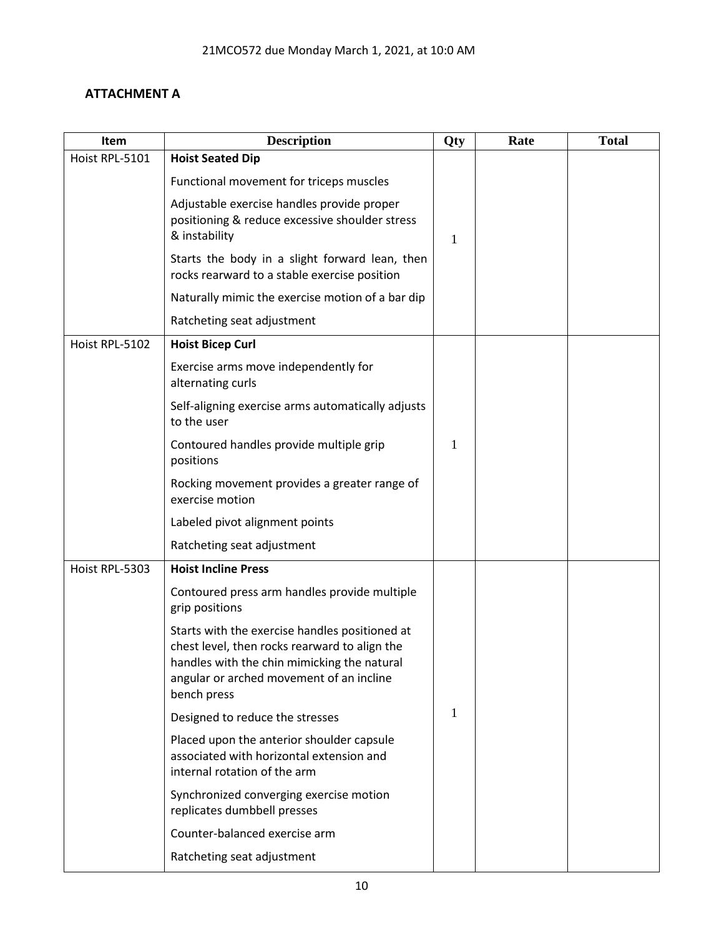# **ATTACHMENT A**

| Item           | <b>Description</b>                                                                                                                                                                                        | Qty | Rate | <b>Total</b> |
|----------------|-----------------------------------------------------------------------------------------------------------------------------------------------------------------------------------------------------------|-----|------|--------------|
| Hoist RPL-5101 | <b>Hoist Seated Dip</b>                                                                                                                                                                                   |     |      |              |
|                | Functional movement for triceps muscles                                                                                                                                                                   |     |      |              |
|                | Adjustable exercise handles provide proper<br>positioning & reduce excessive shoulder stress<br>& instability                                                                                             | 1   |      |              |
|                | Starts the body in a slight forward lean, then<br>rocks rearward to a stable exercise position                                                                                                            |     |      |              |
|                | Naturally mimic the exercise motion of a bar dip                                                                                                                                                          |     |      |              |
|                | Ratcheting seat adjustment                                                                                                                                                                                |     |      |              |
| Hoist RPL-5102 | <b>Hoist Bicep Curl</b>                                                                                                                                                                                   |     |      |              |
|                | Exercise arms move independently for<br>alternating curls                                                                                                                                                 |     |      |              |
|                | Self-aligning exercise arms automatically adjusts<br>to the user                                                                                                                                          |     |      |              |
|                | Contoured handles provide multiple grip<br>positions                                                                                                                                                      | 1   |      |              |
|                | Rocking movement provides a greater range of<br>exercise motion                                                                                                                                           |     |      |              |
|                | Labeled pivot alignment points                                                                                                                                                                            |     |      |              |
|                | Ratcheting seat adjustment                                                                                                                                                                                |     |      |              |
| Hoist RPL-5303 | <b>Hoist Incline Press</b>                                                                                                                                                                                |     |      |              |
|                | Contoured press arm handles provide multiple<br>grip positions                                                                                                                                            |     |      |              |
|                | Starts with the exercise handles positioned at<br>chest level, then rocks rearward to align the<br>handles with the chin mimicking the natural<br>angular or arched movement of an incline<br>bench press |     |      |              |
|                | Designed to reduce the stresses                                                                                                                                                                           | 1   |      |              |
|                | Placed upon the anterior shoulder capsule<br>associated with horizontal extension and<br>internal rotation of the arm                                                                                     |     |      |              |
|                | Synchronized converging exercise motion<br>replicates dumbbell presses                                                                                                                                    |     |      |              |
|                | Counter-balanced exercise arm                                                                                                                                                                             |     |      |              |
|                | Ratcheting seat adjustment                                                                                                                                                                                |     |      |              |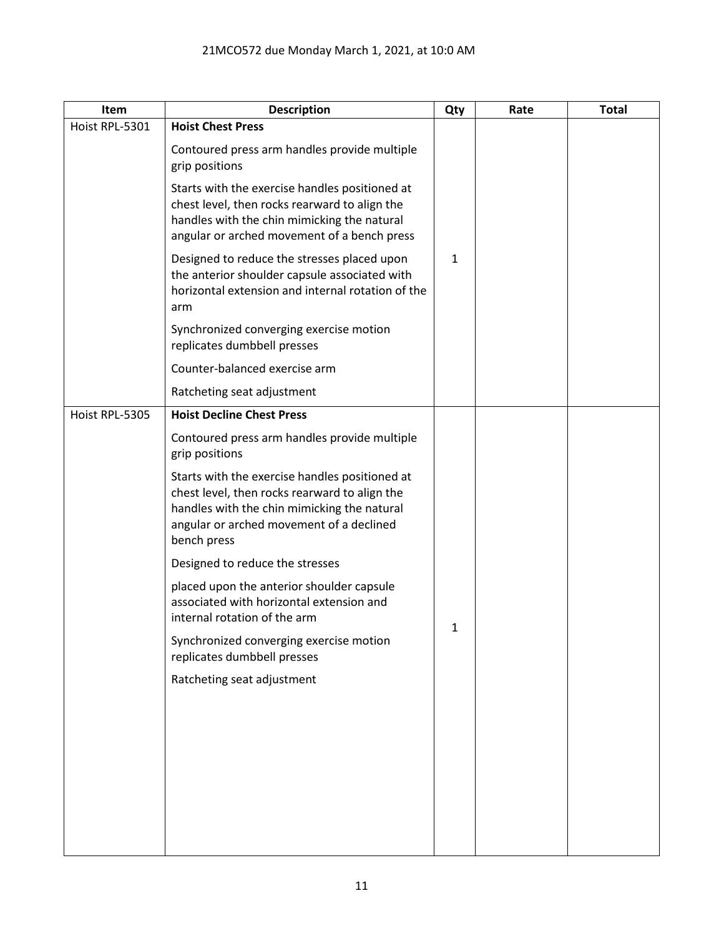| Item           | <b>Description</b>                                                                                                                                                                                        | Qty          | Rate | <b>Total</b> |
|----------------|-----------------------------------------------------------------------------------------------------------------------------------------------------------------------------------------------------------|--------------|------|--------------|
| Hoist RPL-5301 | <b>Hoist Chest Press</b>                                                                                                                                                                                  |              |      |              |
|                | Contoured press arm handles provide multiple<br>grip positions                                                                                                                                            |              |      |              |
|                | Starts with the exercise handles positioned at<br>chest level, then rocks rearward to align the<br>handles with the chin mimicking the natural<br>angular or arched movement of a bench press             |              |      |              |
|                | Designed to reduce the stresses placed upon<br>the anterior shoulder capsule associated with<br>horizontal extension and internal rotation of the<br>arm                                                  | $\mathbf{1}$ |      |              |
|                | Synchronized converging exercise motion<br>replicates dumbbell presses                                                                                                                                    |              |      |              |
|                | Counter-balanced exercise arm                                                                                                                                                                             |              |      |              |
|                | Ratcheting seat adjustment                                                                                                                                                                                |              |      |              |
| Hoist RPL-5305 | <b>Hoist Decline Chest Press</b>                                                                                                                                                                          |              |      |              |
|                | Contoured press arm handles provide multiple<br>grip positions                                                                                                                                            |              |      |              |
|                | Starts with the exercise handles positioned at<br>chest level, then rocks rearward to align the<br>handles with the chin mimicking the natural<br>angular or arched movement of a declined<br>bench press |              |      |              |
|                | Designed to reduce the stresses                                                                                                                                                                           |              |      |              |
|                | placed upon the anterior shoulder capsule<br>associated with horizontal extension and<br>internal rotation of the arm                                                                                     | 1            |      |              |
|                | Synchronized converging exercise motion<br>replicates dumbbell presses                                                                                                                                    |              |      |              |
|                | Ratcheting seat adjustment                                                                                                                                                                                |              |      |              |
|                |                                                                                                                                                                                                           |              |      |              |
|                |                                                                                                                                                                                                           |              |      |              |
|                |                                                                                                                                                                                                           |              |      |              |
|                |                                                                                                                                                                                                           |              |      |              |
|                |                                                                                                                                                                                                           |              |      |              |
|                |                                                                                                                                                                                                           |              |      |              |
|                |                                                                                                                                                                                                           |              |      |              |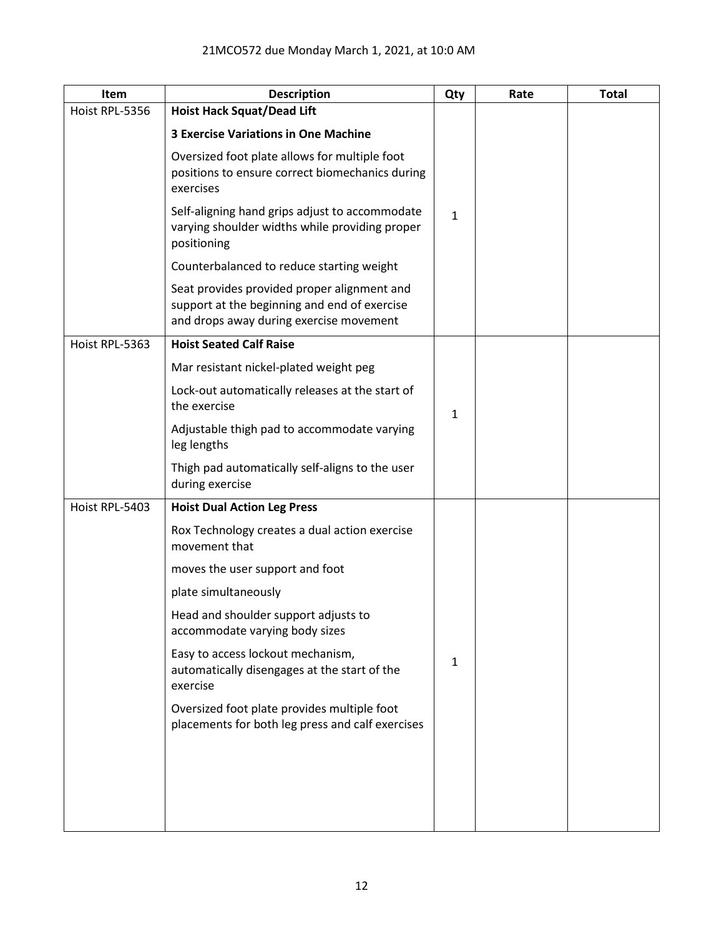| Item           | <b>Description</b>                                                                                                                     | Qty          | Rate | <b>Total</b> |
|----------------|----------------------------------------------------------------------------------------------------------------------------------------|--------------|------|--------------|
| Hoist RPL-5356 | <b>Hoist Hack Squat/Dead Lift</b>                                                                                                      |              |      |              |
|                | <b>3 Exercise Variations in One Machine</b>                                                                                            |              |      |              |
|                | Oversized foot plate allows for multiple foot<br>positions to ensure correct biomechanics during<br>exercises                          |              |      |              |
|                | Self-aligning hand grips adjust to accommodate<br>varying shoulder widths while providing proper<br>positioning                        | $\mathbf{1}$ |      |              |
|                | Counterbalanced to reduce starting weight                                                                                              |              |      |              |
|                | Seat provides provided proper alignment and<br>support at the beginning and end of exercise<br>and drops away during exercise movement |              |      |              |
| Hoist RPL-5363 | <b>Hoist Seated Calf Raise</b>                                                                                                         |              |      |              |
|                | Mar resistant nickel-plated weight peg                                                                                                 |              |      |              |
|                | Lock-out automatically releases at the start of<br>the exercise                                                                        | $\mathbf{1}$ |      |              |
|                | Adjustable thigh pad to accommodate varying<br>leg lengths                                                                             |              |      |              |
|                | Thigh pad automatically self-aligns to the user<br>during exercise                                                                     |              |      |              |
| Hoist RPL-5403 | <b>Hoist Dual Action Leg Press</b>                                                                                                     |              |      |              |
|                | Rox Technology creates a dual action exercise<br>movement that                                                                         |              |      |              |
|                | moves the user support and foot                                                                                                        |              |      |              |
|                | plate simultaneously                                                                                                                   |              |      |              |
|                | Head and shoulder support adjusts to<br>accommodate varying body sizes                                                                 |              |      |              |
|                | Easy to access lockout mechanism,<br>automatically disengages at the start of the<br>exercise                                          | 1            |      |              |
|                | Oversized foot plate provides multiple foot<br>placements for both leg press and calf exercises                                        |              |      |              |
|                |                                                                                                                                        |              |      |              |
|                |                                                                                                                                        |              |      |              |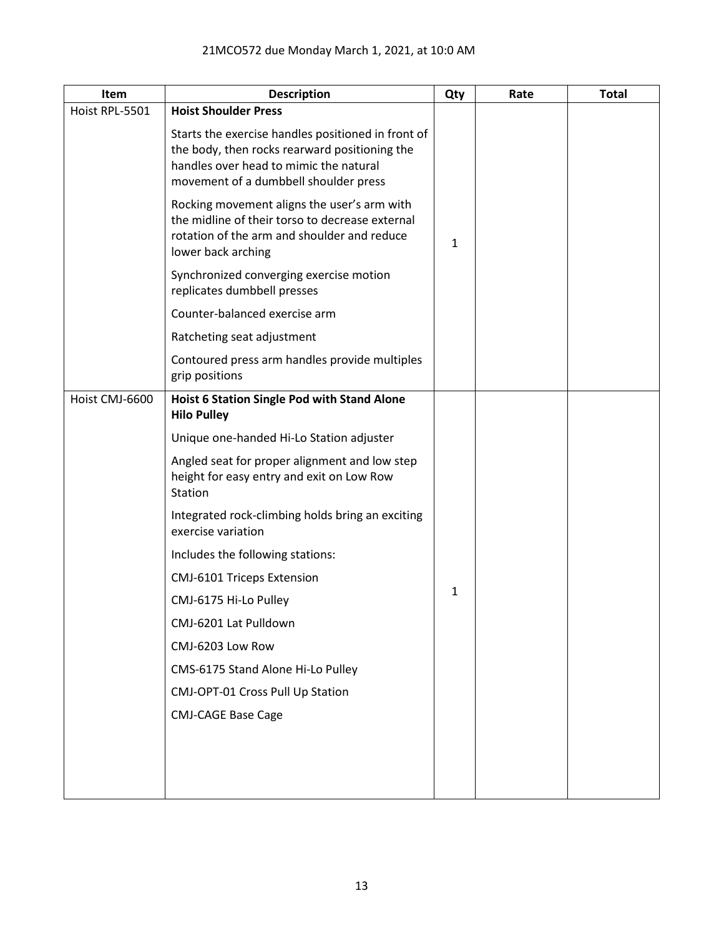| Item           | <b>Description</b>                                                                                                                                                                     | Qty          | Rate | <b>Total</b> |
|----------------|----------------------------------------------------------------------------------------------------------------------------------------------------------------------------------------|--------------|------|--------------|
| Hoist RPL-5501 | <b>Hoist Shoulder Press</b>                                                                                                                                                            |              |      |              |
|                | Starts the exercise handles positioned in front of<br>the body, then rocks rearward positioning the<br>handles over head to mimic the natural<br>movement of a dumbbell shoulder press |              |      |              |
|                | Rocking movement aligns the user's arm with<br>the midline of their torso to decrease external<br>rotation of the arm and shoulder and reduce<br>lower back arching                    | $\mathbf{1}$ |      |              |
|                | Synchronized converging exercise motion<br>replicates dumbbell presses                                                                                                                 |              |      |              |
|                | Counter-balanced exercise arm                                                                                                                                                          |              |      |              |
|                | Ratcheting seat adjustment                                                                                                                                                             |              |      |              |
|                | Contoured press arm handles provide multiples<br>grip positions                                                                                                                        |              |      |              |
| Hoist CMJ-6600 | Hoist 6 Station Single Pod with Stand Alone<br><b>Hilo Pulley</b>                                                                                                                      |              |      |              |
|                | Unique one-handed Hi-Lo Station adjuster                                                                                                                                               |              |      |              |
|                | Angled seat for proper alignment and low step<br>height for easy entry and exit on Low Row<br>Station                                                                                  |              |      |              |
|                | Integrated rock-climbing holds bring an exciting<br>exercise variation                                                                                                                 |              |      |              |
|                | Includes the following stations:                                                                                                                                                       |              |      |              |
|                | <b>CMJ-6101 Triceps Extension</b>                                                                                                                                                      |              |      |              |
|                | CMJ-6175 Hi-Lo Pulley                                                                                                                                                                  | 1            |      |              |
|                | CMJ-6201 Lat Pulldown                                                                                                                                                                  |              |      |              |
|                | CMJ-6203 Low Row                                                                                                                                                                       |              |      |              |
|                | CMS-6175 Stand Alone Hi-Lo Pulley                                                                                                                                                      |              |      |              |
|                | CMJ-OPT-01 Cross Pull Up Station                                                                                                                                                       |              |      |              |
|                | <b>CMJ-CAGE Base Cage</b>                                                                                                                                                              |              |      |              |
|                |                                                                                                                                                                                        |              |      |              |
|                |                                                                                                                                                                                        |              |      |              |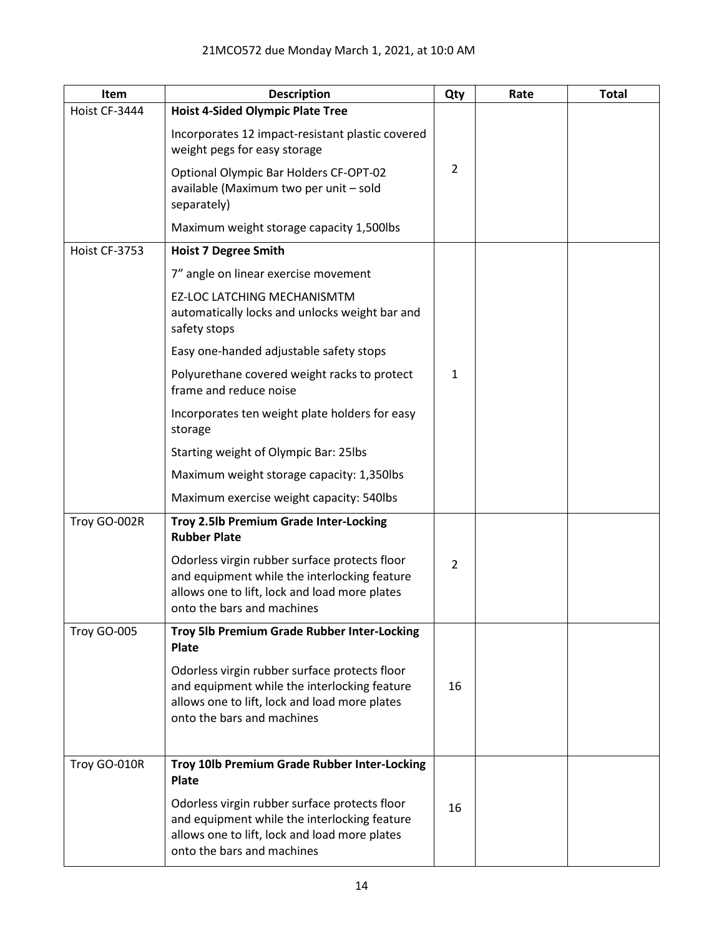| Item          | <b>Description</b>                                                                                                                                                           | Qty            | Rate | <b>Total</b> |
|---------------|------------------------------------------------------------------------------------------------------------------------------------------------------------------------------|----------------|------|--------------|
| Hoist CF-3444 | <b>Hoist 4-Sided Olympic Plate Tree</b>                                                                                                                                      |                |      |              |
|               | Incorporates 12 impact-resistant plastic covered<br>weight pegs for easy storage                                                                                             |                |      |              |
|               | Optional Olympic Bar Holders CF-OPT-02<br>available (Maximum two per unit - sold<br>separately)                                                                              | $\overline{2}$ |      |              |
|               | Maximum weight storage capacity 1,500lbs                                                                                                                                     |                |      |              |
| Hoist CF-3753 | <b>Hoist 7 Degree Smith</b>                                                                                                                                                  |                |      |              |
|               | 7" angle on linear exercise movement                                                                                                                                         |                |      |              |
|               | EZ-LOC LATCHING MECHANISMTM<br>automatically locks and unlocks weight bar and<br>safety stops                                                                                |                |      |              |
|               | Easy one-handed adjustable safety stops                                                                                                                                      |                |      |              |
|               | Polyurethane covered weight racks to protect<br>frame and reduce noise                                                                                                       | $\mathbf{1}$   |      |              |
|               | Incorporates ten weight plate holders for easy<br>storage                                                                                                                    |                |      |              |
|               | Starting weight of Olympic Bar: 25lbs                                                                                                                                        |                |      |              |
|               | Maximum weight storage capacity: 1,350lbs                                                                                                                                    |                |      |              |
|               | Maximum exercise weight capacity: 540lbs                                                                                                                                     |                |      |              |
| Troy GO-002R  | Troy 2.5lb Premium Grade Inter-Locking<br><b>Rubber Plate</b>                                                                                                                |                |      |              |
|               | Odorless virgin rubber surface protects floor<br>and equipment while the interlocking feature<br>allows one to lift, lock and load more plates<br>onto the bars and machines | $\overline{2}$ |      |              |
| Troy GO-005   | Troy 5lb Premium Grade Rubber Inter-Locking<br><b>Plate</b>                                                                                                                  |                |      |              |
|               | Odorless virgin rubber surface protects floor<br>and equipment while the interlocking feature<br>allows one to lift, lock and load more plates<br>onto the bars and machines | 16             |      |              |
| Troy GO-010R  | Troy 10lb Premium Grade Rubber Inter-Locking                                                                                                                                 |                |      |              |
|               | <b>Plate</b><br>Odorless virgin rubber surface protects floor                                                                                                                |                |      |              |
|               | and equipment while the interlocking feature<br>allows one to lift, lock and load more plates<br>onto the bars and machines                                                  | 16             |      |              |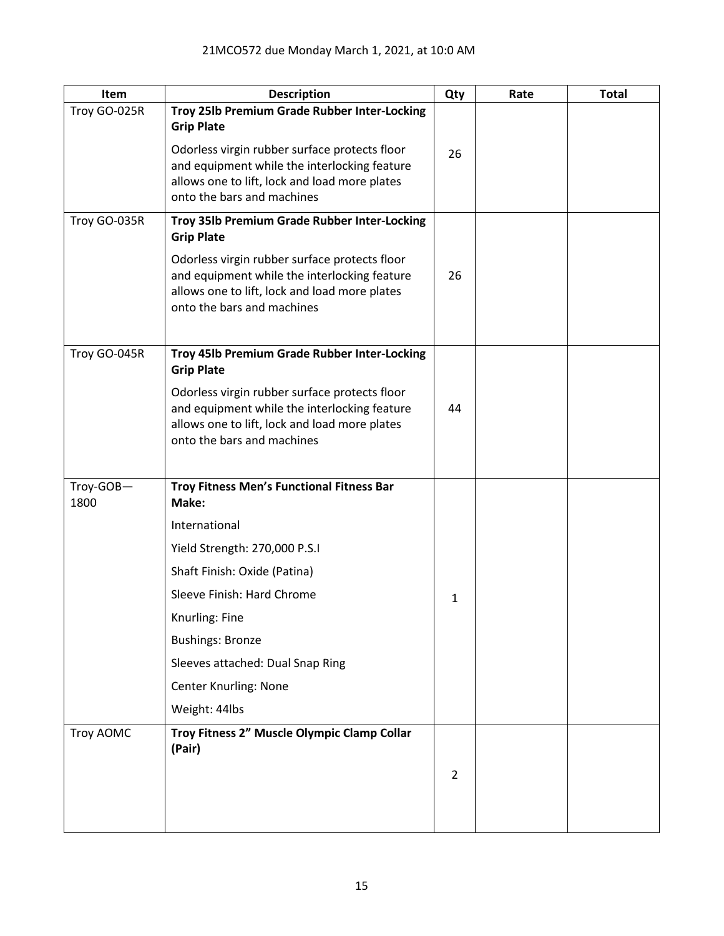| Item         | <b>Description</b>                                                                                                                                                           | Qty            | Rate | <b>Total</b> |
|--------------|------------------------------------------------------------------------------------------------------------------------------------------------------------------------------|----------------|------|--------------|
| Troy GO-025R | Troy 25lb Premium Grade Rubber Inter-Locking<br><b>Grip Plate</b>                                                                                                            |                |      |              |
|              | Odorless virgin rubber surface protects floor<br>and equipment while the interlocking feature<br>allows one to lift, lock and load more plates<br>onto the bars and machines | 26             |      |              |
| Troy GO-035R | Troy 35lb Premium Grade Rubber Inter-Locking<br><b>Grip Plate</b>                                                                                                            |                |      |              |
|              | Odorless virgin rubber surface protects floor<br>and equipment while the interlocking feature<br>allows one to lift, lock and load more plates<br>onto the bars and machines | 26             |      |              |
| Troy GO-045R | Troy 45lb Premium Grade Rubber Inter-Locking<br><b>Grip Plate</b>                                                                                                            |                |      |              |
|              | Odorless virgin rubber surface protects floor<br>and equipment while the interlocking feature<br>allows one to lift, lock and load more plates<br>onto the bars and machines | 44             |      |              |
| Troy-GOB-    | Troy Fitness Men's Functional Fitness Bar                                                                                                                                    |                |      |              |
| 1800         | Make:                                                                                                                                                                        |                |      |              |
|              | International                                                                                                                                                                |                |      |              |
|              | Yield Strength: 270,000 P.S.I                                                                                                                                                |                |      |              |
|              | Shaft Finish: Oxide (Patina)                                                                                                                                                 |                |      |              |
|              | Sleeve Finish: Hard Chrome                                                                                                                                                   | 1              |      |              |
|              | Knurling: Fine                                                                                                                                                               |                |      |              |
|              | <b>Bushings: Bronze</b>                                                                                                                                                      |                |      |              |
|              | Sleeves attached: Dual Snap Ring                                                                                                                                             |                |      |              |
|              | <b>Center Knurling: None</b>                                                                                                                                                 |                |      |              |
|              | Weight: 44lbs                                                                                                                                                                |                |      |              |
| Troy AOMC    | Troy Fitness 2" Muscle Olympic Clamp Collar<br>(Pair)                                                                                                                        |                |      |              |
|              |                                                                                                                                                                              | $\overline{2}$ |      |              |
|              |                                                                                                                                                                              |                |      |              |
|              |                                                                                                                                                                              |                |      |              |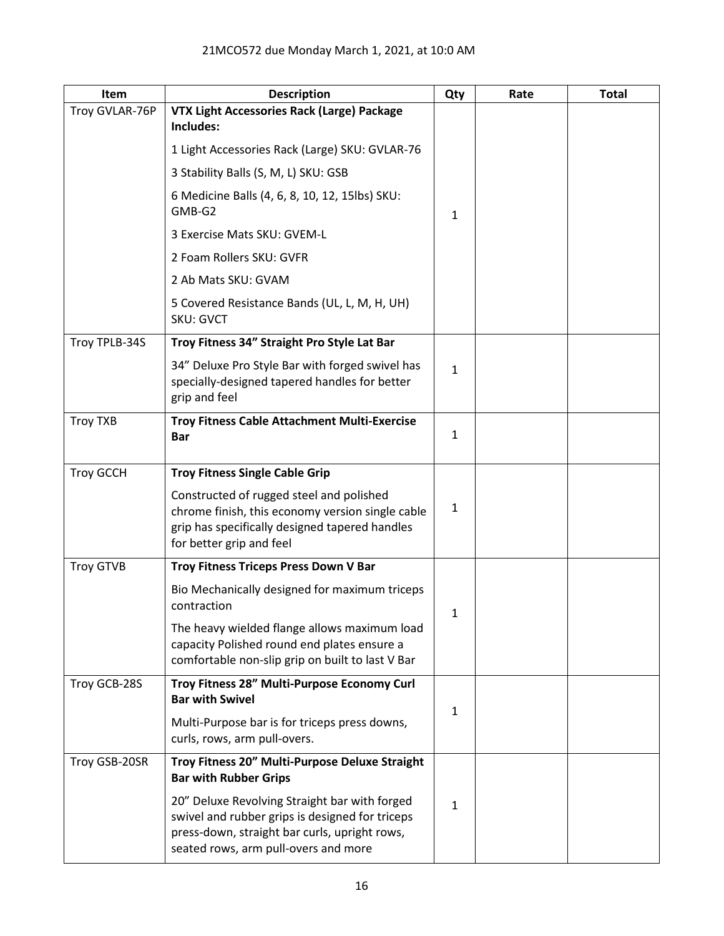| Item             | <b>Description</b>                                                                                                                                                                        | Qty          | Rate | <b>Total</b> |
|------------------|-------------------------------------------------------------------------------------------------------------------------------------------------------------------------------------------|--------------|------|--------------|
| Troy GVLAR-76P   | VTX Light Accessories Rack (Large) Package<br>Includes:                                                                                                                                   |              |      |              |
|                  | 1 Light Accessories Rack (Large) SKU: GVLAR-76                                                                                                                                            |              |      |              |
|                  | 3 Stability Balls (S, M, L) SKU: GSB                                                                                                                                                      |              |      |              |
|                  | 6 Medicine Balls (4, 6, 8, 10, 12, 15lbs) SKU:<br>GMB-G2                                                                                                                                  | $\mathbf{1}$ |      |              |
|                  | 3 Exercise Mats SKU: GVEM-L                                                                                                                                                               |              |      |              |
|                  | 2 Foam Rollers SKU: GVFR                                                                                                                                                                  |              |      |              |
|                  | 2 Ab Mats SKU: GVAM                                                                                                                                                                       |              |      |              |
|                  | 5 Covered Resistance Bands (UL, L, M, H, UH)<br><b>SKU: GVCT</b>                                                                                                                          |              |      |              |
| Troy TPLB-34S    | Troy Fitness 34" Straight Pro Style Lat Bar                                                                                                                                               |              |      |              |
|                  | 34" Deluxe Pro Style Bar with forged swivel has<br>specially-designed tapered handles for better<br>grip and feel                                                                         | $\mathbf{1}$ |      |              |
| <b>Troy TXB</b>  | <b>Troy Fitness Cable Attachment Multi-Exercise</b><br>Bar                                                                                                                                | $\mathbf{1}$ |      |              |
| <b>Troy GCCH</b> | <b>Troy Fitness Single Cable Grip</b>                                                                                                                                                     |              |      |              |
|                  | Constructed of rugged steel and polished<br>chrome finish, this economy version single cable<br>grip has specifically designed tapered handles<br>for better grip and feel                | 1            |      |              |
| <b>Troy GTVB</b> | Troy Fitness Triceps Press Down V Bar                                                                                                                                                     |              |      |              |
|                  | Bio Mechanically designed for maximum triceps<br>contraction                                                                                                                              | 1            |      |              |
|                  | The heavy wielded flange allows maximum load<br>capacity Polished round end plates ensure a<br>comfortable non-slip grip on built to last V Bar                                           |              |      |              |
| Troy GCB-28S     | Troy Fitness 28" Multi-Purpose Economy Curl<br><b>Bar with Swivel</b>                                                                                                                     | 1            |      |              |
|                  | Multi-Purpose bar is for triceps press downs,<br>curls, rows, arm pull-overs.                                                                                                             |              |      |              |
| Troy GSB-20SR    | Troy Fitness 20" Multi-Purpose Deluxe Straight<br><b>Bar with Rubber Grips</b>                                                                                                            |              |      |              |
|                  | 20" Deluxe Revolving Straight bar with forged<br>swivel and rubber grips is designed for triceps<br>press-down, straight bar curls, upright rows,<br>seated rows, arm pull-overs and more | $\mathbf{1}$ |      |              |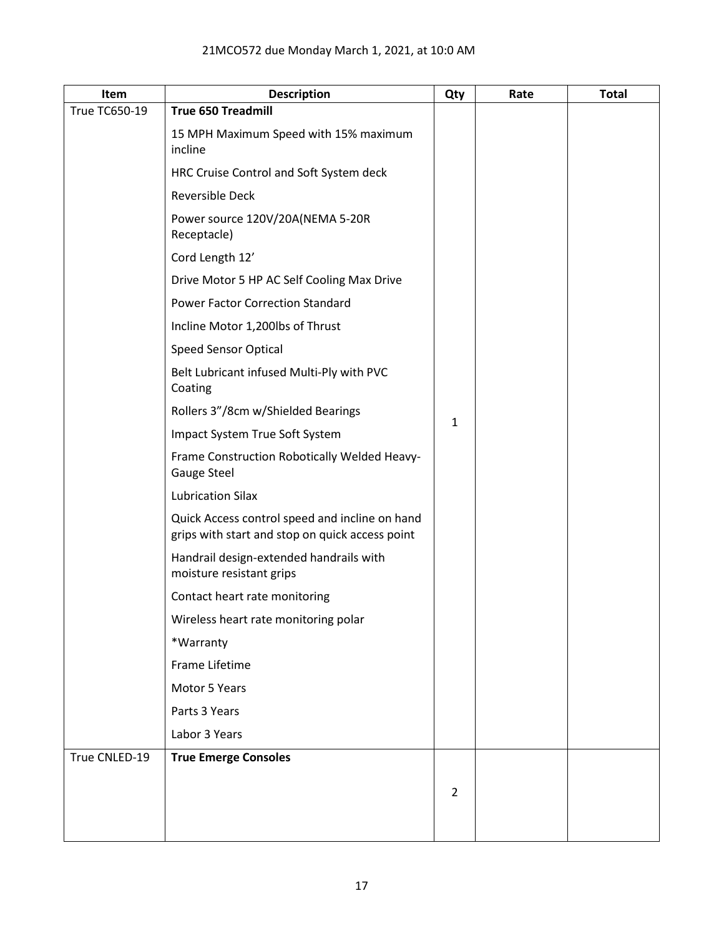| Item          | <b>Description</b>                                                                                | Qty            | Rate | <b>Total</b> |
|---------------|---------------------------------------------------------------------------------------------------|----------------|------|--------------|
| True TC650-19 | <b>True 650 Treadmill</b>                                                                         |                |      |              |
|               | 15 MPH Maximum Speed with 15% maximum<br>incline                                                  |                |      |              |
|               | HRC Cruise Control and Soft System deck                                                           |                |      |              |
|               | <b>Reversible Deck</b>                                                                            |                |      |              |
|               | Power source 120V/20A(NEMA 5-20R<br>Receptacle)                                                   |                |      |              |
|               | Cord Length 12'                                                                                   |                |      |              |
|               | Drive Motor 5 HP AC Self Cooling Max Drive                                                        |                |      |              |
|               | <b>Power Factor Correction Standard</b>                                                           |                |      |              |
|               | Incline Motor 1,200lbs of Thrust                                                                  |                |      |              |
|               | Speed Sensor Optical                                                                              |                |      |              |
|               | Belt Lubricant infused Multi-Ply with PVC<br>Coating                                              |                |      |              |
|               | Rollers 3"/8cm w/Shielded Bearings                                                                |                |      |              |
|               | Impact System True Soft System                                                                    | $\mathbf{1}$   |      |              |
|               | Frame Construction Robotically Welded Heavy-<br><b>Gauge Steel</b>                                |                |      |              |
|               | <b>Lubrication Silax</b>                                                                          |                |      |              |
|               | Quick Access control speed and incline on hand<br>grips with start and stop on quick access point |                |      |              |
|               | Handrail design-extended handrails with<br>moisture resistant grips                               |                |      |              |
|               | Contact heart rate monitoring                                                                     |                |      |              |
|               | Wireless heart rate monitoring polar                                                              |                |      |              |
|               | *Warranty                                                                                         |                |      |              |
|               | Frame Lifetime                                                                                    |                |      |              |
|               | Motor 5 Years                                                                                     |                |      |              |
|               | Parts 3 Years                                                                                     |                |      |              |
|               | Labor 3 Years                                                                                     |                |      |              |
| True CNLED-19 | <b>True Emerge Consoles</b>                                                                       |                |      |              |
|               |                                                                                                   | $\overline{2}$ |      |              |
|               |                                                                                                   |                |      |              |
|               |                                                                                                   |                |      |              |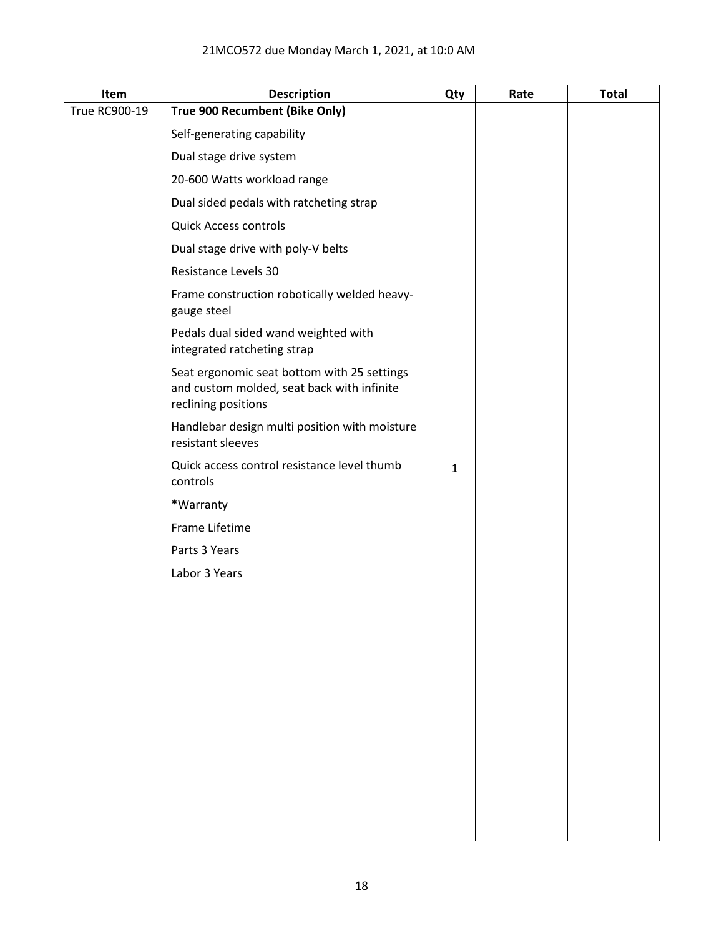| Item                 | <b>Description</b>                                                                                               | Qty          | Rate | <b>Total</b> |
|----------------------|------------------------------------------------------------------------------------------------------------------|--------------|------|--------------|
| <b>True RC900-19</b> | True 900 Recumbent (Bike Only)                                                                                   |              |      |              |
|                      | Self-generating capability                                                                                       |              |      |              |
|                      | Dual stage drive system                                                                                          |              |      |              |
|                      | 20-600 Watts workload range                                                                                      |              |      |              |
|                      | Dual sided pedals with ratcheting strap                                                                          |              |      |              |
|                      | <b>Quick Access controls</b>                                                                                     |              |      |              |
|                      | Dual stage drive with poly-V belts                                                                               |              |      |              |
|                      | Resistance Levels 30                                                                                             |              |      |              |
|                      | Frame construction robotically welded heavy-<br>gauge steel                                                      |              |      |              |
|                      | Pedals dual sided wand weighted with<br>integrated ratcheting strap                                              |              |      |              |
|                      | Seat ergonomic seat bottom with 25 settings<br>and custom molded, seat back with infinite<br>reclining positions |              |      |              |
|                      | Handlebar design multi position with moisture<br>resistant sleeves                                               |              |      |              |
|                      | Quick access control resistance level thumb<br>controls                                                          | $\mathbf{1}$ |      |              |
|                      | *Warranty                                                                                                        |              |      |              |
|                      | Frame Lifetime                                                                                                   |              |      |              |
|                      | Parts 3 Years                                                                                                    |              |      |              |
|                      | Labor 3 Years                                                                                                    |              |      |              |
|                      |                                                                                                                  |              |      |              |
|                      |                                                                                                                  |              |      |              |
|                      |                                                                                                                  |              |      |              |
|                      |                                                                                                                  |              |      |              |
|                      |                                                                                                                  |              |      |              |
|                      |                                                                                                                  |              |      |              |
|                      |                                                                                                                  |              |      |              |
|                      |                                                                                                                  |              |      |              |
|                      |                                                                                                                  |              |      |              |
|                      |                                                                                                                  |              |      |              |
|                      |                                                                                                                  |              |      |              |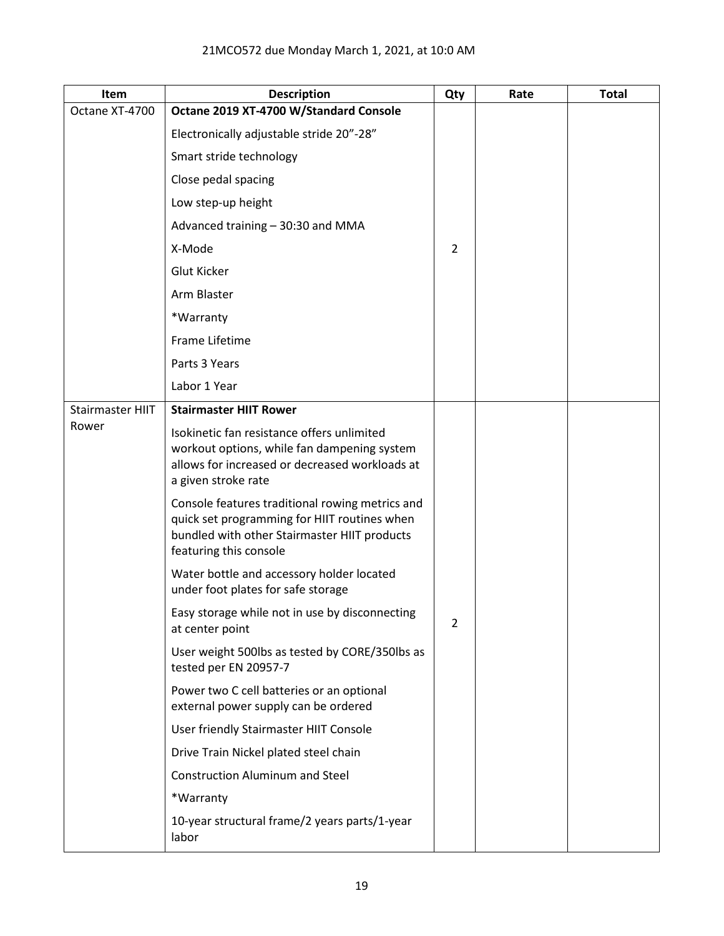| Item                    | <b>Description</b>                                                                                                                                                        | Qty            | Rate | <b>Total</b> |
|-------------------------|---------------------------------------------------------------------------------------------------------------------------------------------------------------------------|----------------|------|--------------|
| Octane XT-4700          | Octane 2019 XT-4700 W/Standard Console                                                                                                                                    |                |      |              |
|                         | Electronically adjustable stride 20"-28"                                                                                                                                  |                |      |              |
|                         | Smart stride technology                                                                                                                                                   |                |      |              |
|                         | Close pedal spacing                                                                                                                                                       |                |      |              |
|                         | Low step-up height                                                                                                                                                        |                |      |              |
|                         | Advanced training - 30:30 and MMA                                                                                                                                         |                |      |              |
|                         | X-Mode                                                                                                                                                                    | $\overline{2}$ |      |              |
|                         | <b>Glut Kicker</b>                                                                                                                                                        |                |      |              |
|                         | Arm Blaster                                                                                                                                                               |                |      |              |
|                         | *Warranty                                                                                                                                                                 |                |      |              |
|                         | Frame Lifetime                                                                                                                                                            |                |      |              |
|                         | Parts 3 Years                                                                                                                                                             |                |      |              |
|                         | Labor 1 Year                                                                                                                                                              |                |      |              |
| <b>Stairmaster HIIT</b> | <b>Stairmaster HIIT Rower</b>                                                                                                                                             |                |      |              |
| Rower                   | Isokinetic fan resistance offers unlimited<br>workout options, while fan dampening system<br>allows for increased or decreased workloads at<br>a given stroke rate        |                |      |              |
|                         | Console features traditional rowing metrics and<br>quick set programming for HIIT routines when<br>bundled with other Stairmaster HIIT products<br>featuring this console |                |      |              |
|                         | Water bottle and accessory holder located<br>under foot plates for safe storage                                                                                           |                |      |              |
|                         | Easy storage while not in use by disconnecting<br>at center point                                                                                                         | $\overline{2}$ |      |              |
|                         | User weight 500lbs as tested by CORE/350lbs as<br>tested per EN 20957-7                                                                                                   |                |      |              |
|                         | Power two C cell batteries or an optional<br>external power supply can be ordered                                                                                         |                |      |              |
|                         | User friendly Stairmaster HIIT Console                                                                                                                                    |                |      |              |
|                         | Drive Train Nickel plated steel chain                                                                                                                                     |                |      |              |
|                         | <b>Construction Aluminum and Steel</b>                                                                                                                                    |                |      |              |
|                         | *Warranty                                                                                                                                                                 |                |      |              |
|                         | 10-year structural frame/2 years parts/1-year<br>labor                                                                                                                    |                |      |              |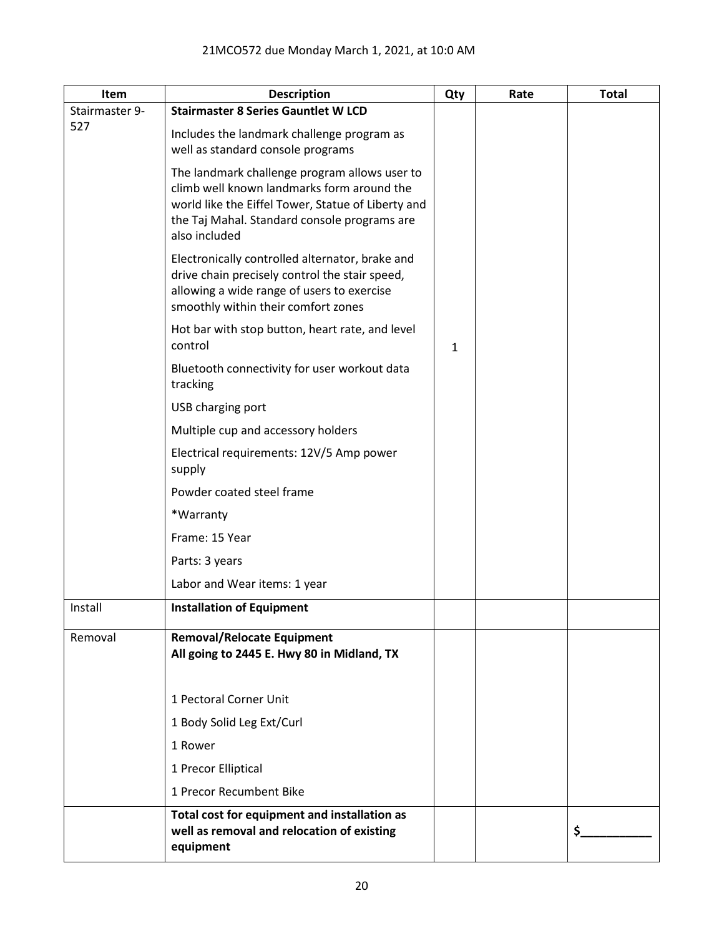| Item           | <b>Description</b>                                                                                                                                                                                                 | Qty | Rate | <b>Total</b> |
|----------------|--------------------------------------------------------------------------------------------------------------------------------------------------------------------------------------------------------------------|-----|------|--------------|
| Stairmaster 9- | <b>Stairmaster 8 Series Gauntlet W LCD</b>                                                                                                                                                                         |     |      |              |
| 527            | Includes the landmark challenge program as<br>well as standard console programs                                                                                                                                    |     |      |              |
|                | The landmark challenge program allows user to<br>climb well known landmarks form around the<br>world like the Eiffel Tower, Statue of Liberty and<br>the Taj Mahal. Standard console programs are<br>also included |     |      |              |
|                | Electronically controlled alternator, brake and<br>drive chain precisely control the stair speed,<br>allowing a wide range of users to exercise<br>smoothly within their comfort zones                             |     |      |              |
|                | Hot bar with stop button, heart rate, and level<br>control                                                                                                                                                         | 1   |      |              |
|                | Bluetooth connectivity for user workout data<br>tracking                                                                                                                                                           |     |      |              |
|                | USB charging port                                                                                                                                                                                                  |     |      |              |
|                | Multiple cup and accessory holders                                                                                                                                                                                 |     |      |              |
|                | Electrical requirements: 12V/5 Amp power<br>supply                                                                                                                                                                 |     |      |              |
|                | Powder coated steel frame                                                                                                                                                                                          |     |      |              |
|                | *Warranty                                                                                                                                                                                                          |     |      |              |
|                | Frame: 15 Year                                                                                                                                                                                                     |     |      |              |
|                | Parts: 3 years                                                                                                                                                                                                     |     |      |              |
|                | Labor and Wear items: 1 year                                                                                                                                                                                       |     |      |              |
| Install        | <b>Installation of Equipment</b>                                                                                                                                                                                   |     |      |              |
| Removal        | <b>Removal/Relocate Equipment</b><br>All going to 2445 E. Hwy 80 in Midland, TX                                                                                                                                    |     |      |              |
|                | 1 Pectoral Corner Unit                                                                                                                                                                                             |     |      |              |
|                | 1 Body Solid Leg Ext/Curl                                                                                                                                                                                          |     |      |              |
|                | 1 Rower                                                                                                                                                                                                            |     |      |              |
|                | 1 Precor Elliptical                                                                                                                                                                                                |     |      |              |
|                | 1 Precor Recumbent Bike                                                                                                                                                                                            |     |      |              |
|                | Total cost for equipment and installation as<br>well as removal and relocation of existing<br>equipment                                                                                                            |     |      | \$.          |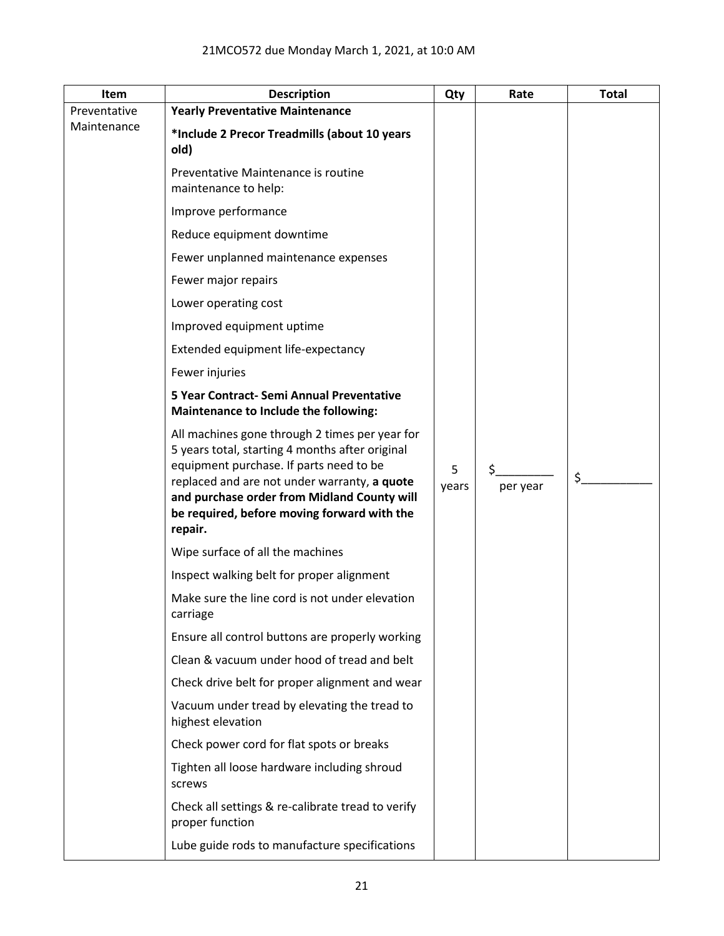| Item         | <b>Description</b>                                                                                                                                                                                                                                                                                    | Qty        | Rate           | <b>Total</b> |
|--------------|-------------------------------------------------------------------------------------------------------------------------------------------------------------------------------------------------------------------------------------------------------------------------------------------------------|------------|----------------|--------------|
| Preventative | <b>Yearly Preventative Maintenance</b>                                                                                                                                                                                                                                                                |            |                |              |
| Maintenance  | *Include 2 Precor Treadmills (about 10 years<br>old)                                                                                                                                                                                                                                                  |            |                |              |
|              | Preventative Maintenance is routine<br>maintenance to help:                                                                                                                                                                                                                                           |            |                |              |
|              | Improve performance                                                                                                                                                                                                                                                                                   |            |                |              |
|              | Reduce equipment downtime                                                                                                                                                                                                                                                                             |            |                |              |
|              | Fewer unplanned maintenance expenses                                                                                                                                                                                                                                                                  |            |                |              |
|              | Fewer major repairs                                                                                                                                                                                                                                                                                   |            |                |              |
|              | Lower operating cost                                                                                                                                                                                                                                                                                  |            |                |              |
|              | Improved equipment uptime                                                                                                                                                                                                                                                                             |            |                |              |
|              | Extended equipment life-expectancy                                                                                                                                                                                                                                                                    |            |                |              |
|              | Fewer injuries                                                                                                                                                                                                                                                                                        |            |                |              |
|              | 5 Year Contract- Semi Annual Preventative<br>Maintenance to Include the following:                                                                                                                                                                                                                    |            |                |              |
|              | All machines gone through 2 times per year for<br>5 years total, starting 4 months after original<br>equipment purchase. If parts need to be<br>replaced and are not under warranty, a quote<br>and purchase order from Midland County will<br>be required, before moving forward with the<br>repair. | 5<br>years | \$<br>per year | \$           |
|              | Wipe surface of all the machines                                                                                                                                                                                                                                                                      |            |                |              |
|              | Inspect walking belt for proper alignment                                                                                                                                                                                                                                                             |            |                |              |
|              | Make sure the line cord is not under elevation<br>carriage                                                                                                                                                                                                                                            |            |                |              |
|              | Ensure all control buttons are properly working                                                                                                                                                                                                                                                       |            |                |              |
|              | Clean & vacuum under hood of tread and belt                                                                                                                                                                                                                                                           |            |                |              |
|              | Check drive belt for proper alignment and wear                                                                                                                                                                                                                                                        |            |                |              |
|              | Vacuum under tread by elevating the tread to<br>highest elevation                                                                                                                                                                                                                                     |            |                |              |
|              | Check power cord for flat spots or breaks                                                                                                                                                                                                                                                             |            |                |              |
|              | Tighten all loose hardware including shroud<br>screws                                                                                                                                                                                                                                                 |            |                |              |
|              | Check all settings & re-calibrate tread to verify<br>proper function                                                                                                                                                                                                                                  |            |                |              |
|              | Lube guide rods to manufacture specifications                                                                                                                                                                                                                                                         |            |                |              |